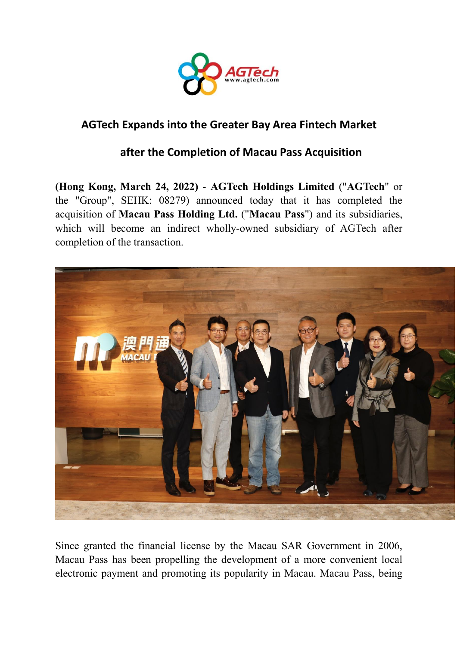

## **AGTech Expands into the Greater Bay Area Fintech Market**

## **after the Completion of Macau Pass Acquisition**

**(Hong Kong, March 24, 2022)** - **AGTech Holdings Limited** ("**AGTech**" or the "Group", SEHK: 08279) announced today that it has completed the acquisition of **Macau Pass Holding Ltd.** ("**Macau Pass**") and its subsidiaries, which will become an indirect wholly-owned subsidiary of AGTech after completion of the transaction.



Since granted the financial license by the Macau SAR Government in 2006, Macau Pass has been propelling the development of a more convenient local electronic payment and promoting its popularity in Macau. Macau Pass, being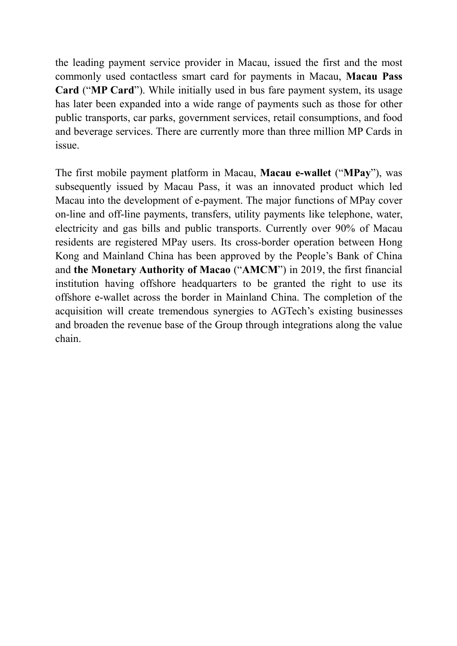the leading payment service provider in Macau, issued the first and the most commonly used contactless smart card for payments in Macau, **Macau Pass Card** ("**MP Card**"). While initially used in bus fare payment system, its usage has later been expanded into a wide range of payments such as those for other public transports, car parks, government services, retail consumptions, and food and beverage services. There are currently more than three million MP Cards in issue.

The first mobile payment platform in Macau, **Macau e-wallet** ("**MPay**"), was subsequently issued by Macau Pass, it was an innovated product which led Macau into the development of e-payment. The major functions of MPay cover on-line and off-line payments, transfers, utility payments like telephone, water, electricity and gas bills and public transports. Currently over 90% of Macau residents are registered MPay users. Its cross-border operation between Hong Kong and Mainland China has been approved by the People's Bank of China and **the Monetary Authority of Macao** ("**AMCM**") in 2019, the first financial institution having offshore headquarters to be granted the right to use its offshore e-wallet across the border in Mainland China. The completion of the acquisition will create tremendous synergies to AGTech's existing businesses and broaden the revenue base of the Group through integrations along the value chain.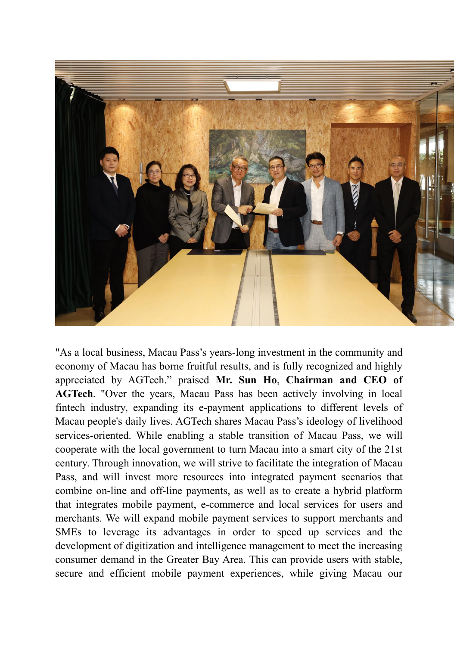

"As a local business, Macau Pass's years-long investment in the community and economy of Macau has borne fruitful results, and is fully recognized and highly appreciated by AGTech." praised **Mr. Sun Ho**, **Chairman and CEO of AGTech**. "Over the years, Macau Pass has been actively involving in local fintech industry, expanding its e-payment applications to different levels of Macau people's daily lives. AGTech shares Macau Pass's ideology of livelihood services-oriented. While enabling a stable transition of Macau Pass, we will cooperate with the local government to turn Macau into a smart city of the 21st century. Through innovation, we will strive to facilitate the integration of Macau Pass, and will invest more resources into integrated payment scenarios that combine on-line and off-line payments, as well as to create a hybrid platform that integrates mobile payment, e-commerce and local services for users and merchants. We will expand mobile payment services to support merchants and SMEs to leverage its advantages in order to speed up services and the development of digitization and intelligence management to meet the increasing consumer demand in the Greater Bay Area. This can provide users with stable, secure and efficient mobile payment experiences, while giving Macau our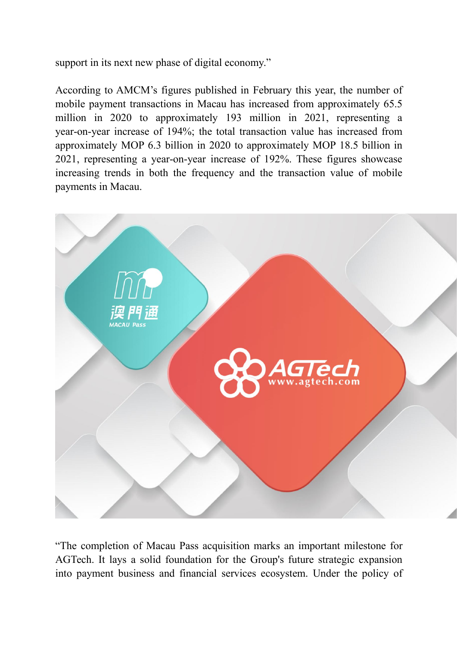support in its next new phase of digital economy."

According to AMCM's figures published in February this year, the number of mobile payment transactions in Macau has increased from approximately 65.5 million in 2020 to approximately 193 million in 2021, representing a year-on-year increase of 194%; the total transaction value has increased from approximately MOP 6.3 billion in 2020 to approximately MOP 18.5 billion in 2021, representing a year-on-year increase of 192%. These figures showcase increasing trends in both the frequency and the transaction value of mobile payments in Macau.



"The completion of Macau Pass acquisition marks an important milestone for AGTech. It lays a solid foundation for the Group's future strategic expansion into payment business and financial services ecosystem. Under the policy of